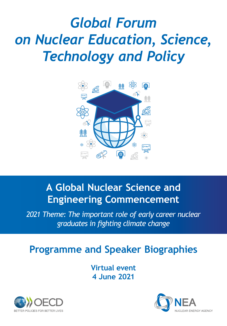# *Global Forum on Nuclear Education, Science, Technology and Policy*



## **A Global Nuclear Science and Engineering Commencement**

*2021 Theme: The important role of early career nuclear graduates in fighting climate change*

## **Programme and Speaker Biographies**

**Virtual event 4 June 2021**



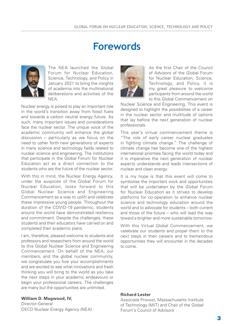## **Forewords**



The NEA launched the Global Forum for Nuclear Education, Science, Technology, and Policy in January 2021 to bring the insights of academia into the multinational deliberations and activities of the NEA.

Nuclear energy is poised to play an important role in the world's transition away from fossil fuels and towards a carbon neutral energy future. As such, many important issues and considerations face the nuclear sector. The unique voice of the academic community will enhance the global discussion – particularly as we focus on the need to usher forth new generations of experts in many science and technology fields related to nuclear science and engineering. The institutions that participate in the Global Forum for Nuclear Education act as a direct connection to the students who are the future of the nuclear sector.

With this in mind, the Nuclear Energy Agency, under the auspices of the Global Forum for Nuclear Education, looks forward to this Global Nuclear Science and Engineering Commencement as a way to uplift and celebrate these impressive young people. Throughout the duration of the COVID-19 pandemic, students around the world have demonstrated resiliency and commitment. Despite the challenges, these students and their educators have carried on and completed their academic plans.

I am, therefore, pleased welcome to students and professors and researchers from around the world to this Global Nuclear Science and Engineering Commencement. On behalf of the NEA, our members, and the global nuclear community, we congratulate you fore your accomplishments and are excited to see what innovations and fresh thinking you will bring to the world as you take the next steps in your academic endeavours or begin your professional careers. The challenges are many but the opportunities are unlimited.

#### **William D. Magwood, IV,**

Director-General OECD Nuclear Energy Agency (NEA)



As the first Chair of the Council of Advisors of the Global Forum for Nuclear Education, Science, Technology, and Policy, it is my great pleasure to welcome participants from around the world to this Global Commencement on

Nuclear Science and Engineering. This event is designed to highlight the possibilities of a career in the nuclear sector and multitude of options that lay before the next generation of nuclear professionals.

This year's virtual commencement theme is "The role of early career nuclear graduates in fighting climate change." The challenge of climate change has become one of the highest international priorities facing the world today and it is imperative the next generation of nuclear experts understands and leads intersections of nuclear and clean energy.

It is my hope is that this event will come to symbolise the important work and opportunities that will be undertaken by the Global Forum for Nuclear Education as it strives to develop platforms for co-operation to enhance nuclear science and technology education around the world and to advocate for students – both current and those of the future – who will lead the way toward a brighter and more sustainable tomorrow.

With this Virtual Global Commencement, we celebrate our students and propel them to the next steps in their careers and to tremendous opportunities they will encounter in the decades to come.

#### **Richard Lester**

Associate Provost, Massachusetts Institute of Technology (MIT) and Chair of the Global Forum's Council of Advisors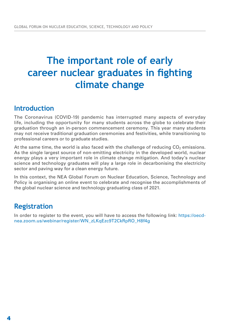## **The important role of early career nuclear graduates in fighting climate change**

### **Introduction**

The Coronavirus (COVID-19) pandemic has interrupted many aspects of everyday life, including the opportunity for many students across the globe to celebrate their graduation through an in-person commencement ceremony. This year many students may not receive traditional graduation ceremonies and festivities, while transitioning to professional careers or to graduate studies.

At the same time, the world is also faced with the challenge of reducing  $CO<sub>2</sub>$  emissions. As the single largest source of non-emitting electricity in the developed world, nuclear energy plays a very important role in climate change mitigation. And today's nuclear science and technology graduates will play a large role in decarbonising the electricity sector and paving way for a clean energy future.

In this context, the NEA Global Forum on Nuclear Education, Science, Technology and Policy is organising an online event to celebrate and recognise the accomplishments of the global nuclear science and technology graduating class of 2021.

### **Registration**

In order to register to the event, you will have to access the following link: https://oecdnea.zoom.us/webinar/register/WN\_zLKqEzc9T2CkRpRO\_H8f4g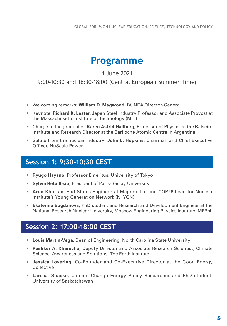## **Programme**

4 June 2021

9:00-10:30 and 16:30-18:00 (Central European Summer Time)

- Welcoming remarks: **William D. Magwood, IV**, NEA Director-General
- Keynote: **Richard K. Lester**, Japan Steel Industry Professor and Associate Provost at the Massachusetts Institute of Technology (MIT)
- Charge to the graduates: **Karen Astrid Hallberg**, Professor of Physics at the Balseiro Institute and Research Director at the Bariloche Atomic Centre in Argentina
- Salute from the nuclear industry: **John L. Hopkins**, Chairman and Chief Executive Officer, NuScale Power

### **Session 1: 9:30-10:30 CEST**

- **• Ryugo Hayano**, Professor Emeritus, University of Tokyo
- **• Sylvie Retailleau**, President of Paris-Saclay University
- **• Arun Khuttan**, End States Engineer at Magnox Ltd and COP26 Lead for Nuclear Institute's Young Generation Network (NI YGN)
- **• Ekaterina Bogdanova**, PhD student and Research and Development Engineer at the National Research Nuclear University, Moscow Engineering Physics Institute (MEPhI)

### **Session 2: 17:00-18:00 CEST**

- **• Louis Martin-Vega**, Dean of Engineering, North Carolina State University
- **• Pushker A. Kharecha**, Deputy Director and Associate Research Scientist, Climate Science, Awareness and Solutions, The Earth Institute
- **• Jessica Lovering**, Co-Founder and Co-Executive Director at the Good Energy **Collective**
- **• Larissa Shasko**, Climate Change Energy Policy Researcher and PhD student, University of Saskatchewan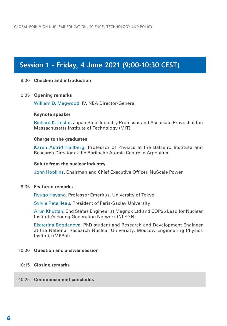### **Session 1 – Friday, 4 June 2021 (9:00-10:30 CEST)**

#### 9:00 **Check-in and introduction**

#### 9:05 **Opening remarks**

William D. Magwood, IV, NEA Director-General

#### **Keynote speaker**

Richard K. Lester, Japan Steel Industry Professor and Associate Provost at the Massachusetts Institute of Technology (MIT)

#### **Charge to the graduates**

Karen Astrid Hallberg, Professor of Physics at the Balseiro Institute and Research Director at the Bariloche Atomic Centre in Argentina

#### **Salute from the nuclear industry**

John Hopkins, Chairman and Chief Executive Officer, NuScale Power

#### 9:35 **Featured remarks**

Ryugo Hayano, Professor Emeritus, University of Tokyo

Sylvie Retailleau, President of Paris-Saclay University

Arun Khuttan, End States Engineer at Magnox Ltd and COP26 Lead for Nuclear Institute's Young Generation Network (NI YGN)

Ekaterina Bogdanova, PhD student and Research and Development Engineer at the National Research Nuclear University, Moscow Engineering Physics Institute (MEPhI)

#### 10:00 **Question and answer session**

- 10:15 **Closing remarks**
- ~10:25 **Commencement concludes**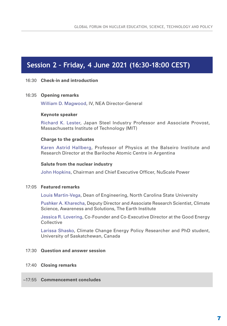### **Session 2 – Friday, 4 June 2021 (16:30-18:00 CEST)**

#### 16:30 **Check-in and introduction**

#### 16:35 **Opening remarks**

William D. Magwood, IV, NEA Director-General

#### **Keynote speaker**

Richard K. Lester, Japan Steel Industry Professor and Associate Provost, Massachusetts Institute of Technology (MIT)

#### **Charge to the graduates**

Karen Astrid Hallberg, Professor of Physics at the Balseiro Institute and Research Director at the Bariloche Atomic Centre in Argentina

#### **Salute from the nuclear industry**

John Hopkins, Chairman and Chief Executive Officer, NuScale Power

#### 17:05 **Featured remarks**

Louis Martin-Vega, Dean of Engineering, North Carolina State University

Pushker A. Kharecha, Deputy Director and Associate Research Scientist, Climate Science, Awareness and Solutions, The Earth Institute

Jessica R. Lovering, Co-Founder and Co-Executive Director at the Good Energy **Collective** 

Larissa Shasko, Climate Change Energy Policy Researcher and PhD student, University of Saskatchewan, Canada

#### 17:30 **Question and answer session**

#### 17:40 **Closing remarks**

#### ~17:55 **Commencement concludes**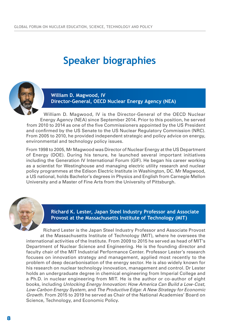## **Speaker biographies**



**William D. Magwood, IV Director-General, OECD Nuclear Energy Agency (NEA)**

William D. Magwood, IV is the Director-General of the OECD Nuclear Energy Agency (NEA) since September 2014. Prior to this position, he served from 2010 to 2014 as one of the five Commissioners appointed by the US President and confirmed by the US Senate to the US Nuclear Regulatory Commission (NRC). From 2005 to 2010, he provided independent strategic and policy advice on energy, environmental and technology policy issues.

From 1998 to 2005, Mr Magwood was Director of Nuclear Energy at the US Department of Energy (DOE). During his tenure, he launched several important initiatives including the Generation IV International Forum (GIF). He began his career working as a scientist for Westinghouse and managing electric utility research and nuclear policy programmes at the Edison Electric Institute in Washington, DC. Mr Magwood, a US national, holds Bachelor's degrees in Physics and English from Carnegie Mellon University and a Master of Fine Arts from the University of Pittsburgh.

**Richard K. Lester, Japan Steel Industry Professor and Associate Provost at the Massachusetts Institute of Technology (MIT)**

Richard Lester is the Japan Steel Industry Professor and Associate Provost at the Massachusetts Institute of Technology (MIT), where he oversees the international activities of the Institute. From 2009 to 2015 he served as head of MIT's Department of Nuclear Science and Engineering. He is the founding director and faculty chair of the MIT Industrial Performance Center. Professor Lester's research focuses on innovation strategy and management, applied most recently to the problem of deep decarbonisation of the energy sector. He is also widely known for his research on nuclear technology innovation, management and control. Dr Lester holds an undergraduate degree in chemical engineering from Imperial College and a Ph.D. in nuclear engineering from MIT. He is the author or co-author of eight books, including *Unlocking Energy Innovation: How America Can Build a Low-Cost, Low-Carbon Energy System*, and *The Productive Edge: A New Strategy for Economic Growth*. From 2015 to 2019 he served as Chair of the National Academies' Board on Science, Technology, and Economic Policy.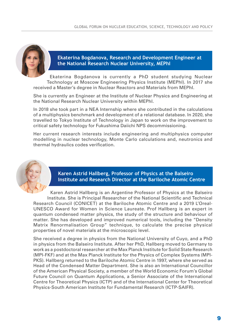

**Ekaterina Bogdanova, Research and Development Engineer at the National Research Nuclear University, MEPhI**

Ekaterina Bogdanova is currently a PhD student studying Nuclear Technology at Moscow Engineering Physics Institute (MEPhI). In 2017 she received a Master's degree in Nuclear Reactors and Materials from MEPhI.

She is currently an Engineer at the Institute of Nuclear Physics and Engineering at the National Research Nuclear University within MEPhI.

In 2018 she took part in a NEA Internship where she contributed in the calculations of a multiphysics benchmark and development of a relational database. In 2020, she travelled to Tokyo Institute of Technology in Japan to work on the improvement to critical safety technology for Fukushima Daiichi NPS decommissioning.

Her current research interests include engineering and multiphysics computer modelling in nuclear technology, Monte Carlo calculations and, neutronics and thermal hydraulics codes verification.



**Karen Astrid Hallberg, Professor of Physics at the Balseiro Institute and Research Director at the Bariloche Atomic Centre**

Karen Astrid Hallberg is an Argentine Professor of Physics at the Balseiro Institute. She is Principal Researcher of the National Scientific and Technical Research Council (CONICET) at the Bariloche Atomic Centre and a 2019 L'Oreal-UNESCO Award for Women in Science Laureate. Prof Hallberg is an expert in quantum condensed matter physics, the study of the structure and behaviour of matter. She has developed and improved numerical tools, including the "Density Matrix Renormalisation Group" technique, to calculate the precise physical properties of novel materials at the microscopic level.

She received a degree in physics from the National University of Cuyo, and a PhD in physics from the Balseiro Institute. After her PhD, Hallberg moved to Germany to work as a postdoctoral researcher at the Max Planck Institute for Solid State Research (MPI-FKF) and at the Max Planck Institute for the Physics of Complex Systems (MPI-PKS). Hallberg returned to the Bariloche Atomic Centre in 1997, where she served as Head of the Condensed Matter Department. She is also an International Councillor of the American Physical Society, a member of the World Economic Forum's Global Future Council on Quantum Applications, a Senior Associate of the International Centre for Theoretical Physics (ICTP) and of the International Center for Theoretical Physics-South American Institute for Fundamental Research (ICTP-SAIFR).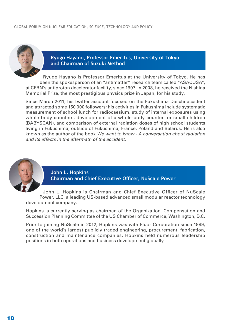

#### **Ryugo Hayano, Professor Emeritus, University of Tokyo and Chairman of Suzuki Method**

Ryugo Hayano is Professor Emeritus at the University of Tokyo. He has been the spokesperson of an "antimatter" research team called "ASACUSA", at CERN's antiproton decelerator facility, since 1997. In 2008, he received the Nishina Memorial Prize, the most prestigious physics prize in Japan, for his study.

Since March 2011, his twitter account focused on the Fukushima Daiichi accident and attracted some 150 000 followers; his activities in Fukushima include systematic measurement of school lunch for radiocaesium, study of internal exposures using whole body counters, development of a whole-body counter for small children (BABYSCAN), and comparison of external radiation doses of high school students living in Fukushima, outside of Fukushima, France, Poland and Belarus. He is also known as the author of the book *We want to know - A conversation about radiation and its effects in the aftermath of the accident*.



**John L. Hopkins Chairman and Chief Executive Officer, NuScale Power**

John L. Hopkins is Chairman and Chief Executive Officer of NuScale Power, LLC, a leading US-based advanced small modular reactor technology development company.

Hopkins is currently serving as chairman of the Organization, Compensation and Succession Planning Committee of the US Chamber of Commerce, Washington, D.C.

Prior to joining NuScale in 2012, Hopkins was with Fluor Corporation since 1989, one of the world's largest publicly traded engineering, procurement, fabrication, construction and maintenance companies. Hopkins held numerous leadership positions in both operations and business development globally.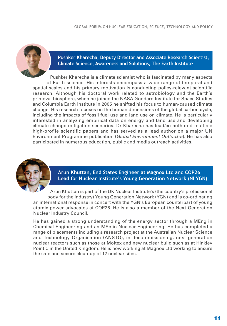

#### **Pushker Kharecha, Deputy Director and Associate Research Scientist, Climate Science, Awareness and Solutions, The Earth Institute**

Pushker Kharecha is a climate scientist who is fascinated by many aspects of Earth science. His interests encompass a wide range of temporal and spatial scales and his primary motivation is conducting policy-relevant scientific research. Although his doctoral work related to astrobiology and the Earth's primeval biosphere, when he joined the NASA Goddard Institute for Space Studies and Columbia Earth Institute in 2005 he shifted his focus to human-caused climate change. His research focuses on the human dimensions of the global carbon cycle, including the impacts of fossil fuel use and land use on climate. He is particularly interested in analyzing empirical data on energy and land use and developing climate change mitigation scenarios. Dr Kharecha has lead/co-authored multiple high-profile scientific papers and has served as a lead author on a major UN Environment Programme publication (*Global Environment Outlook-5*). He has also participated in numerous education, public and media outreach activities.



#### **Arun Khuttan, End States Engineer at Magnox Ltd and COP26 Lead for Nuclear Institute's Young Generation Network (NI YGN)**

Arun Khuttan is part of the UK Nuclear Institute's (the country's professional body for the industry) Young Generation Network (YGN) and is co-ordinating an international response in concert with the YGN's European counterpart of young atomic power advocates at COP26. He is also a member of the Next Generation Nuclear Industry Council.

He has gained a strong understanding of the energy sector through a MEng in Chemical Engineering and an MSc in Nuclear Engineering. He has completed a range of placements including a research project at the Australian Nuclear Science and Technology Organisation (ANSTO), in decommissioning, next generation nuclear reactors such as those at Moltex and new nuclear build such as at Hinkley Point C in the United Kingdom. He is now working at Magnox Ltd working to ensure the safe and secure clean-up of 12 nuclear sites.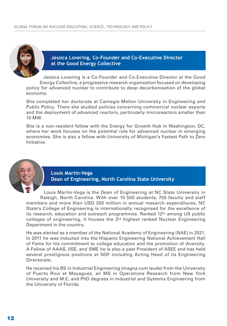

**Jessica Lovering, Co-Founder and Co-Executive Director at the Good Energy Collective**

Jessica Lovering is a Co-Founder and Co-Executive Director at the Good Energy Collective, a progressive research organisation focused on developing policy for advanced nuclear to contribute to deep decarbonisation of the global economy.

She completed her doctorate at Carnegie Mellon University in Engineering and Public Policy. There she studied policies concerning commercial nuclear exports and the deployment of advanced reactors, particularly microreactors smaller than 10 MW.

She is a non-resident fellow with the Energy for Growth Hub in Washington, DC, where her work focuses on the potential role for advanced nuclear in emerging economies. She is also a fellow with University of Michigan's Fastest Path to Zero Initiative.



**Louis Martin-Vega Dean of Engineering, North Carolina State University** 

Louis Martin-Vega is the Dean of Engineering at NC State University in Raleigh, North Carolina. With over 10 500 students, 750 faculty and staff members and more than USD 200 million in annual research expenditures, NC State's College of Engineering is internationally recognised for the excellence of its research, education and outreach programmes. Ranked 12<sup>th</sup> among US public colleges of engineering, it houses the  $3<sup>rd</sup>$  highest ranked Nuclear Engineering Department in the country.

He was elected as a member of the National Academy of Engineering (NAE) in 2021. In 2011 he was inducted into the Hispanic Engineering National Achievement Hall of Fame for his commitment to college education and the promotion of diversity. A Fellow of AAAS, IISE, and SME he is also a past President of ASEE and has held several prestigious positions at NSF including Acting Head of its Engineering Directorate.

He received his BS in Industrial Engineering (magna cum laude) from the University of Puerto Rico at Mayaguez, an MS in Operations Research from New York University and M.E. and PhD degrees in Industrial and Systems Engineering from the University of Florida.